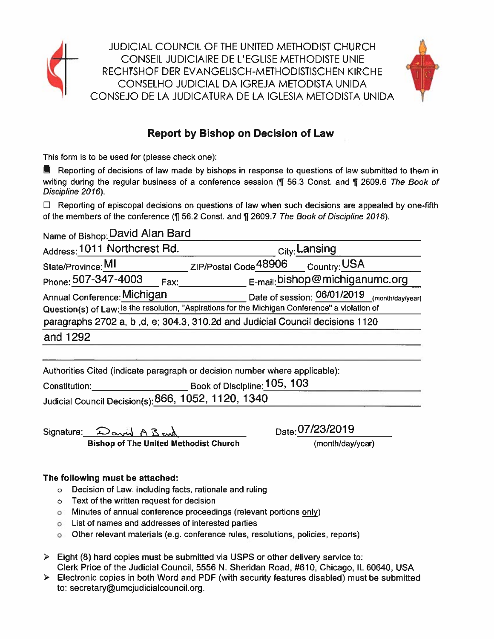

**JUDICIAL COUNCIL OF THE UNITED METHODIST CHURCH** CONSEIL JUDICIAIRE DE L'EGLISE METHODISTE UNIE RECHTSHOF DER EVANGELISCH-METHODISTISCHEN KIRCHE CONSELHO JUDICIAL DA IGREJA METODISTA UNIDA CONSEJO DE LA JUDICATURA DE LA IGLESIA METODISTA UNIDA



## **Report by Bishop on Decision of Law**

This form is to be used for (please check one):

■ Reporting of decisions of law made by bishops in response to questions of law submitted to them in writing during the regular business of a conference session (¶ 56.3 Const. and ¶ 2609.6 The Book of Discipline 2016).

 $\Box$  Reporting of episcopal decisions on questions of law when such decisions are appealed by one-fifth of the members of the conference (¶ 56.2 Const. and ¶ 2609.7 The Book of Discipline 2016).

Name of Bishop: David Alan Bard

| Address: 1011 Northcrest Rd. | <sub>City:</sub> Lansing                                                                        |
|------------------------------|-------------------------------------------------------------------------------------------------|
| State/Province: MI           | ZIP/Postal Code 48906 Country: USA                                                              |
| Phone: 507-347-4003<br>Fax:  | E-mail: bishop@michiganumc.org                                                                  |
| Annual Conference: Michigan  | Date of session: 06/01/2019 (month/day/year)                                                    |
|                              | Question(s) of Law: Is the resolution, "Aspirations for the Michigan Conference" a violation of |
|                              | paragraphs 2702 a, b,d, e; 304.3, 310.2d and Judicial Council decisions 1120                    |
| and 1292                     |                                                                                                 |
|                              |                                                                                                 |

Authorities Cited (indicate paragraph or decision number where applicable):

| Constitution:                                       | Book of Discipline: 105, 103 |
|-----------------------------------------------------|------------------------------|
| Judicial Council Decision(s): 866, 1052, 1120, 1340 |                              |

Signature: David A B and **Bishop of The United Methodist Church**  Date: 07/23/2019

(month/day/year)

## The following must be attached:

- o Decision of Law, including facts, rationale and ruling
- o Text of the written request for decision
- o Minutes of annual conference proceedings (relevant portions only)
- **o** List of names and addresses of interested parties
- o Other relevant materials (e.g. conference rules, resolutions, policies, reports)
- $\triangleright$  Eight (8) hard copies must be submitted via USPS or other delivery service to: Clerk Price of the Judicial Council, 5556 N. Sheridan Road, #610, Chicago, IL 60640, USA
- > Electronic copies in both Word and PDF (with security features disabled) must be submitted to: secretary@umcjudicialcouncil.org.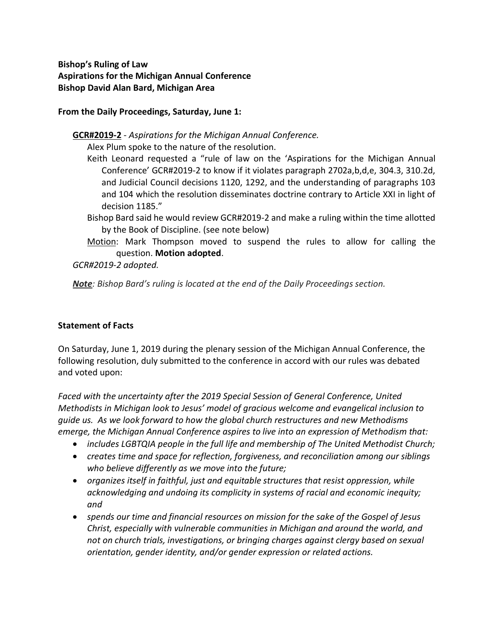**Bishop's Ruling of Law Aspirations for the Michigan Annual Conference Bishop David Alan Bard, Michigan Area**

**From the Daily Proceedings, Saturday, June 1:**

**GCR#2019-2** - *Aspirations for the Michigan Annual Conference.*

Alex Plum spoke to the nature of the resolution.

- Keith Leonard requested a "rule of law on the 'Aspirations for the Michigan Annual Conference' GCR#2019-2 to know if it violates paragraph 2702a,b,d,e, 304.3, 310.2d, and Judicial Council decisions 1120, 1292, and the understanding of paragraphs 103 and 104 which the resolution disseminates doctrine contrary to Article XXI in light of decision 1185."
- Bishop Bard said he would review GCR#2019-2 and make a ruling within the time allotted by the Book of Discipline. (see note below)
- Motion: Mark Thompson moved to suspend the rules to allow for calling the question. **Motion adopted**.

*GCR#2019-2 adopted.*

*Note: Bishop Bard's ruling is located at the end of the Daily Proceedings section.*

## **Statement of Facts**

On Saturday, June 1, 2019 during the plenary session of the Michigan Annual Conference, the following resolution, duly submitted to the conference in accord with our rules was debated and voted upon:

*Faced with the uncertainty after the 2019 Special Session of General Conference, United Methodists in Michigan look to Jesus' model of gracious welcome and evangelical inclusion to guide us. As we look forward to how the global church restructures and new Methodisms emerge, the Michigan Annual Conference aspires to live into an expression of Methodism that:*

- *includes LGBTQIA people in the full life and membership of The United Methodist Church;*
- *creates time and space for reflection, forgiveness, and reconciliation among our siblings who believe differently as we move into the future;*
- *organizes itself in faithful, just and equitable structures that resist oppression, while acknowledging and undoing its complicity in systems of racial and economic inequity; and*
- *spends our time and financial resources on mission for the sake of the Gospel of Jesus Christ, especially with vulnerable communities in Michigan and around the world, and not on church trials, investigations, or bringing charges against clergy based on sexual orientation, gender identity, and/or gender expression or related actions.*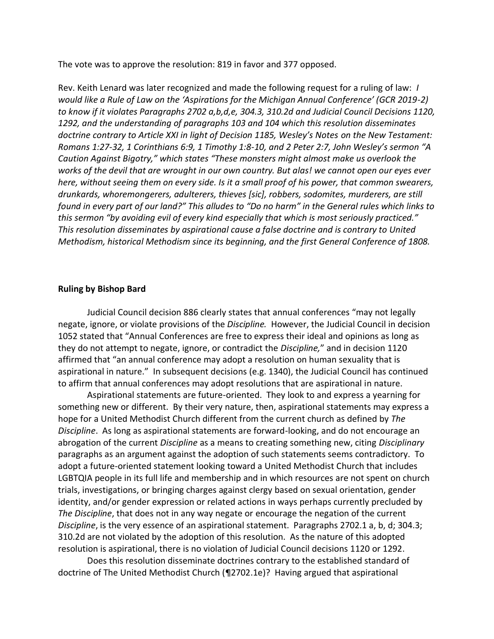The vote was to approve the resolution: 819 in favor and 377 opposed.

Rev. Keith Lenard was later recognized and made the following request for a ruling of law: *I would like a Rule of Law on the 'Aspirations for the Michigan Annual Conference' (GCR 2019-2) to know if it violates Paragraphs 2702 a,b,d,e, 304.3, 310.2d and Judicial Council Decisions 1120, 1292, and the understanding of paragraphs 103 and 104 which this resolution disseminates doctrine contrary to Article XXI in light of Decision 1185, Wesley's Notes on the New Testament: Romans 1:27-32, 1 Corinthians 6:9, 1 Timothy 1:8-10, and 2 Peter 2:7, John Wesley's sermon "A Caution Against Bigotry," which states "These monsters might almost make us overlook the works of the devil that are wrought in our own country. But alas! we cannot open our eyes ever here, without seeing them on every side. Is it a small proof of his power, that common swearers, drunkards, whoremongerers, adulterers, thieves [sic], robbers, sodomites, murderers, are still found in every part of our land?" This alludes to "Do no harm" in the General rules which links to this sermon "by avoiding evil of every kind especially that which is most seriously practiced." This resolution disseminates by aspirational cause a false doctrine and is contrary to United Methodism, historical Methodism since its beginning, and the first General Conference of 1808.*

#### **Ruling by Bishop Bard**

Judicial Council decision 886 clearly states that annual conferences "may not legally negate, ignore, or violate provisions of the *Discipline.* However, the Judicial Council in decision 1052 stated that "Annual Conferences are free to express their ideal and opinions as long as they do not attempt to negate, ignore, or contradict the *Discipline,*" and in decision 1120 affirmed that "an annual conference may adopt a resolution on human sexuality that is aspirational in nature." In subsequent decisions (e.g. 1340), the Judicial Council has continued to affirm that annual conferences may adopt resolutions that are aspirational in nature.

Aspirational statements are future-oriented. They look to and express a yearning for something new or different. By their very nature, then, aspirational statements may express a hope for a United Methodist Church different from the current church as defined by *The Discipline*. As long as aspirational statements are forward-looking, and do not encourage an abrogation of the current *Discipline* as a means to creating something new, citing *Disciplinary*  paragraphs as an argument against the adoption of such statements seems contradictory. To adopt a future-oriented statement looking toward a United Methodist Church that includes LGBTQIA people in its full life and membership and in which resources are not spent on church trials, investigations, or bringing charges against clergy based on sexual orientation, gender identity, and/or gender expression or related actions in ways perhaps currently precluded by *The Discipline*, that does not in any way negate or encourage the negation of the current *Discipline*, is the very essence of an aspirational statement. Paragraphs 2702.1 a, b, d; 304.3; 310.2d are not violated by the adoption of this resolution. As the nature of this adopted resolution is aspirational, there is no violation of Judicial Council decisions 1120 or 1292.

Does this resolution disseminate doctrines contrary to the established standard of doctrine of The United Methodist Church (¶2702.1e)? Having argued that aspirational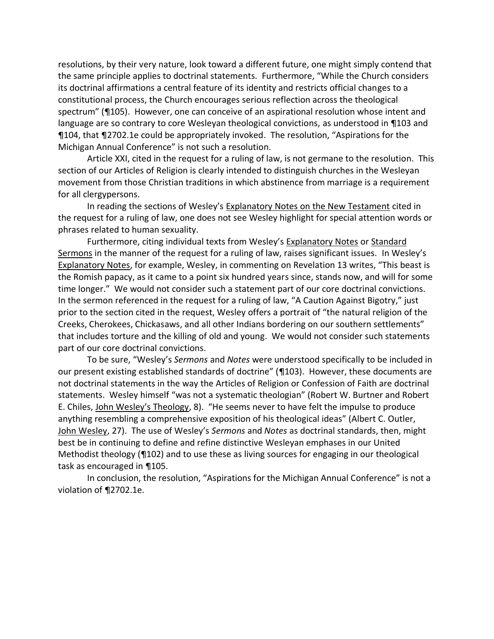resolutions, by their very nature, look toward a different future, one might simply contend that the same principle applies to doctrinal statements. Furthermore, "While the Church considers its doctrinal affirmations a central feature of its identity and restricts official changes to a constitutional process, the Church encourages serious reflection across the theological spectrum" (¶105). However, one can conceive of an aspirational resolution whose intent and language are so contrary to core Wesleyan theological convictions, as understood in ¶103 and ¶104, that ¶2702.1e could be appropriately invoked. The resolution, "Aspirations for the Michigan Annual Conference" is not such a resolution.

Article XXI, cited in the request for a ruling of law, is not germane to the resolution. This section of our Articles of Religion is clearly intended to distinguish churches in the Wesleyan movement from those Christian traditions in which abstinence from marriage is a requirement for all clergypersons.

In reading the sections of Wesley's Explanatory Notes on the New Testament cited in the request for a ruling of law, one does not see Wesley highlight for special attention words or phrases related to human sexuality.

Furthermore, citing individual texts from Wesley's Explanatory Notes or Standard Sermons in the manner of the request for a ruling of law, raises significant issues. In Wesley's Explanatory Notes, for example, Wesley, in commenting on Revelation 13 writes, "This beast is the Romish papacy, as it came to a point six hundred years since, stands now, and will for some time longer." We would not consider such a statement part of our core doctrinal convictions. In the sermon referenced in the request for a ruling of law, "A Caution Against Bigotry," just prior to the section cited in the request, Wesley offers a portrait of "the natural religion of the Creeks, Cherokees, Chickasaws, and all other Indians bordering on our southern settlements" that includes torture and the killing of old and young. We would not consider such statements part of our core doctrinal convictions.

To be sure, "Wesley's *Sermons* and *Notes* were understood specifically to be included in our present existing established standards of doctrine" (¶103). However, these documents are not doctrinal statements in the way the Articles of Religion or Confession of Faith are doctrinal statements. Wesley himself "was not a systematic theologian" (Robert W. Burtner and Robert E. Chiles, John Wesley's Theology, 8). "He seems never to have felt the impulse to produce anything resembling a comprehensive exposition of his theological ideas" (Albert C. Outler, John Wesley, 27). The use of Wesley's *Sermons* and *Notes* as doctrinal standards, then, might best be in continuing to define and refine distinctive Wesleyan emphases in our United Methodist theology (¶102) and to use these as living sources for engaging in our theological task as encouraged in ¶105.

In conclusion, the resolution, "Aspirations for the Michigan Annual Conference" is not a violation of ¶2702.1e.